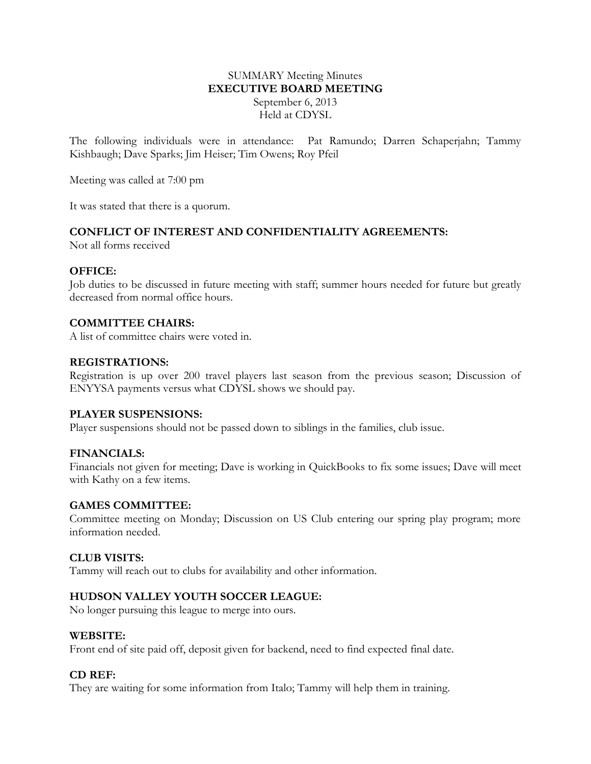### SUMMARY Meeting Minutes **EXECUTIVE BOARD MEETING** September 6, 2013 Held at CDYSL

The following individuals were in attendance: Pat Ramundo; Darren Schaperjahn; Tammy Kishbaugh; Dave Sparks; Jim Heiser; Tim Owens; Roy Pfeil

Meeting was called at 7:00 pm

It was stated that there is a quorum.

## **CONFLICT OF INTEREST AND CONFIDENTIALITY AGREEMENTS:**

Not all forms received

### **OFFICE:**

Job duties to be discussed in future meeting with staff; summer hours needed for future but greatly decreased from normal office hours.

### **COMMITTEE CHAIRS:**

A list of committee chairs were voted in.

#### **REGISTRATIONS:**

Registration is up over 200 travel players last season from the previous season; Discussion of ENYYSA payments versus what CDYSL shows we should pay.

#### **PLAYER SUSPENSIONS:**

Player suspensions should not be passed down to siblings in the families, club issue.

### **FINANCIALS:**

Financials not given for meeting; Dave is working in QuickBooks to fix some issues; Dave will meet with Kathy on a few items.

#### **GAMES COMMITTEE:**

Committee meeting on Monday; Discussion on US Club entering our spring play program; more information needed.

#### **CLUB VISITS:**

Tammy will reach out to clubs for availability and other information.

### **HUDSON VALLEY YOUTH SOCCER LEAGUE:**

No longer pursuing this league to merge into ours.

#### **WEBSITE:**

Front end of site paid off, deposit given for backend, need to find expected final date.

#### **CD REF:**

They are waiting for some information from Italo; Tammy will help them in training.